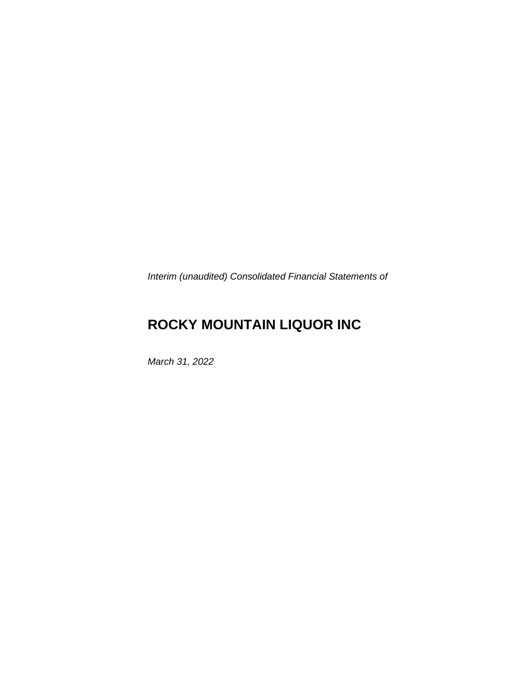*Interim (unaudited) Consolidated Financial Statements of* 

# **ROCKY MOUNTAIN LIQUOR INC**

*March 31, 2022*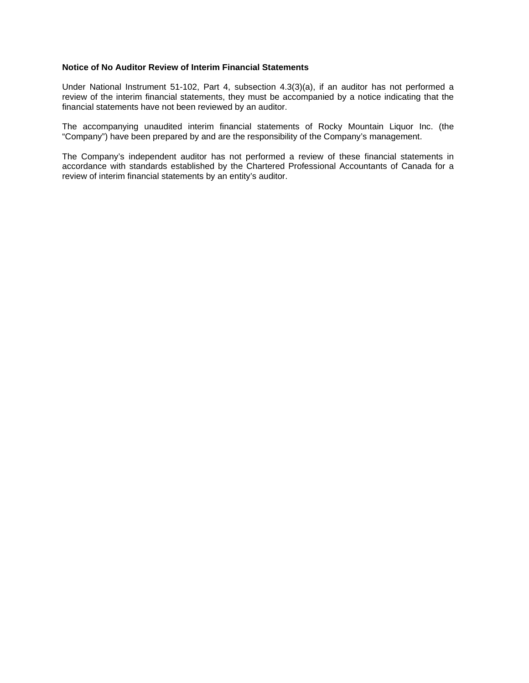## **Notice of No Auditor Review of Interim Financial Statements**

Under National Instrument 51-102, Part 4, subsection 4.3(3)(a), if an auditor has not performed a review of the interim financial statements, they must be accompanied by a notice indicating that the financial statements have not been reviewed by an auditor.

The accompanying unaudited interim financial statements of Rocky Mountain Liquor Inc. (the "Company") have been prepared by and are the responsibility of the Company's management.

The Company's independent auditor has not performed a review of these financial statements in accordance with standards established by the Chartered Professional Accountants of Canada for a review of interim financial statements by an entity's auditor.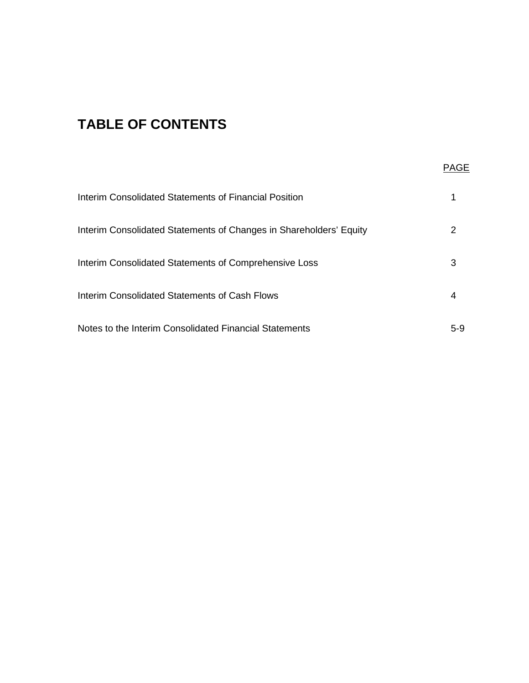# **TABLE OF CONTENTS**

| Interim Consolidated Statements of Financial Position              |       |
|--------------------------------------------------------------------|-------|
| Interim Consolidated Statements of Changes in Shareholders' Equity | 2     |
| Interim Consolidated Statements of Comprehensive Loss              | З     |
| Interim Consolidated Statements of Cash Flows                      |       |
| Notes to the Interim Consolidated Financial Statements             | $5-9$ |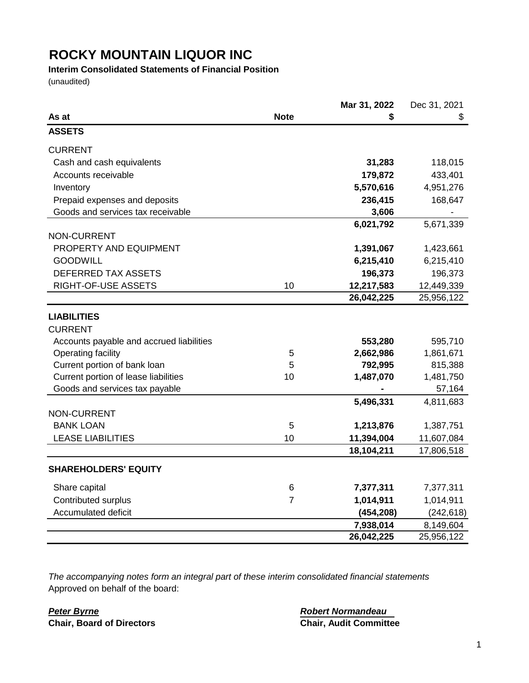# **Interim Consolidated Statements of Financial Position**

(unaudited)

|                                          |                | Mar 31, 2022 | Dec 31, 2021 |
|------------------------------------------|----------------|--------------|--------------|
| As at                                    | <b>Note</b>    | \$           | \$           |
| <b>ASSETS</b>                            |                |              |              |
| <b>CURRENT</b>                           |                |              |              |
| Cash and cash equivalents                |                | 31,283       | 118,015      |
| Accounts receivable                      |                | 179,872      | 433,401      |
| Inventory                                |                | 5,570,616    | 4,951,276    |
| Prepaid expenses and deposits            |                | 236,415      | 168,647      |
| Goods and services tax receivable        |                | 3,606        |              |
|                                          |                | 6,021,792    | 5,671,339    |
| NON-CURRENT                              |                |              |              |
| PROPERTY AND EQUIPMENT                   |                | 1,391,067    | 1,423,661    |
| <b>GOODWILL</b>                          |                | 6,215,410    | 6,215,410    |
| DEFERRED TAX ASSETS                      |                | 196,373      | 196,373      |
| RIGHT-OF-USE ASSETS                      | 10             | 12,217,583   | 12,449,339   |
|                                          |                | 26,042,225   | 25,956,122   |
| <b>LIABILITIES</b>                       |                |              |              |
| <b>CURRENT</b>                           |                |              |              |
| Accounts payable and accrued liabilities |                | 553,280      | 595,710      |
| Operating facility                       | 5              | 2,662,986    | 1,861,671    |
| Current portion of bank loan             | 5              | 792,995      | 815,388      |
| Current portion of lease liabilities     | 10             | 1,487,070    | 1,481,750    |
| Goods and services tax payable           |                |              | 57,164       |
|                                          |                | 5,496,331    | 4,811,683    |
| NON-CURRENT                              |                |              |              |
| <b>BANK LOAN</b>                         | 5              | 1,213,876    | 1,387,751    |
| <b>LEASE LIABILITIES</b>                 | 10             | 11,394,004   | 11,607,084   |
|                                          |                | 18,104,211   | 17,806,518   |
| <b>SHAREHOLDERS' EQUITY</b>              |                |              |              |
| Share capital                            | 6              | 7,377,311    | 7,377,311    |
| Contributed surplus                      | $\overline{7}$ | 1,014,911    | 1,014,911    |
| Accumulated deficit                      |                | (454, 208)   | (242, 618)   |
|                                          |                | 7,938,014    | 8,149,604    |
|                                          |                | 26,042,225   | 25,956,122   |

*The accompanying notes form an integral part of these interim consolidated financial statements* Approved on behalf of the board:

*Peter Byrne Robert Normandeau* **Chair, Board of Directors**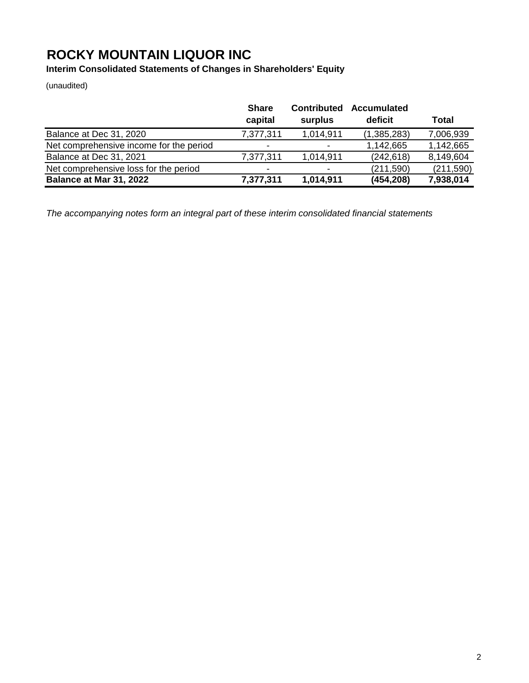**Interim Consolidated Statements of Changes in Shareholders' Equity**

(unaudited)

|                                         | <b>Share</b><br>capital  | <b>Contributed</b><br>surplus | <b>Accumulated</b><br>deficit | Total     |
|-----------------------------------------|--------------------------|-------------------------------|-------------------------------|-----------|
| Balance at Dec 31, 2020                 | 7,377,311                | 1,014,911                     | (1, 385, 283)                 | 7,006,939 |
| Net comprehensive income for the period | $\overline{\phantom{0}}$ | $\blacksquare$                | 1,142,665                     | 1,142,665 |
| Balance at Dec 31, 2021                 | 7,377,311                | 1,014,911                     | (242, 618)                    | 8,149,604 |
| Net comprehensive loss for the period   | $\overline{\phantom{0}}$ | $\blacksquare$                | (211, 590)                    | (211,590) |
| Balance at Mar 31, 2022                 | 7,377,311                | 1,014,911                     | (454, 208)                    | 7,938,014 |

*The accompanying notes form an integral part of these interim consolidated financial statements*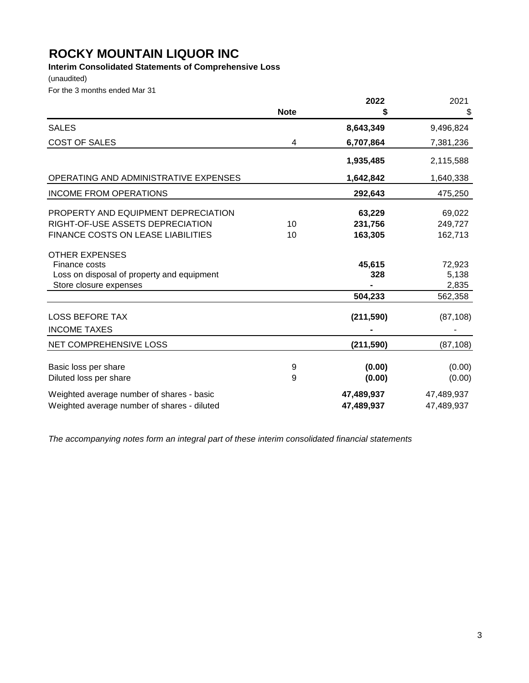# **Interim Consolidated Statements of Comprehensive Loss**

(unaudited)

For the 3 months ended Mar 31

|                                                                                          |             | 2022                     | 2021                     |
|------------------------------------------------------------------------------------------|-------------|--------------------------|--------------------------|
|                                                                                          | <b>Note</b> | S                        | \$                       |
| <b>SALES</b>                                                                             |             | 8,643,349                | 9,496,824                |
| <b>COST OF SALES</b>                                                                     | 4           | 6,707,864                | 7,381,236                |
|                                                                                          |             | 1,935,485                | 2,115,588                |
| OPERATING AND ADMINISTRATIVE EXPENSES                                                    |             | 1,642,842                | 1,640,338                |
| <b>INCOME FROM OPERATIONS</b>                                                            |             | 292,643                  | 475,250                  |
| PROPERTY AND EQUIPMENT DEPRECIATION                                                      |             | 63,229                   | 69,022                   |
| RIGHT-OF-USE ASSETS DEPRECIATION                                                         | 10          | 231,756                  | 249,727                  |
| <b>FINANCE COSTS ON LEASE LIABILITIES</b>                                                | 10          | 163,305                  | 162,713                  |
| <b>OTHER EXPENSES</b>                                                                    |             |                          |                          |
| Finance costs                                                                            |             | 45,615                   | 72,923                   |
| Loss on disposal of property and equipment                                               |             | 328                      | 5,138                    |
| Store closure expenses                                                                   |             |                          | 2,835                    |
|                                                                                          |             | 504,233                  | 562,358                  |
| <b>LOSS BEFORE TAX</b>                                                                   |             | (211, 590)               | (87, 108)                |
| <b>INCOME TAXES</b>                                                                      |             |                          |                          |
| NET COMPREHENSIVE LOSS                                                                   |             | (211, 590)               | (87, 108)                |
| Basic loss per share                                                                     | 9           | (0.00)                   | (0.00)                   |
| Diluted loss per share                                                                   | 9           | (0.00)                   | (0.00)                   |
| Weighted average number of shares - basic<br>Weighted average number of shares - diluted |             | 47,489,937<br>47,489,937 | 47,489,937<br>47,489,937 |

*The accompanying notes form an integral part of these interim consolidated financial statements*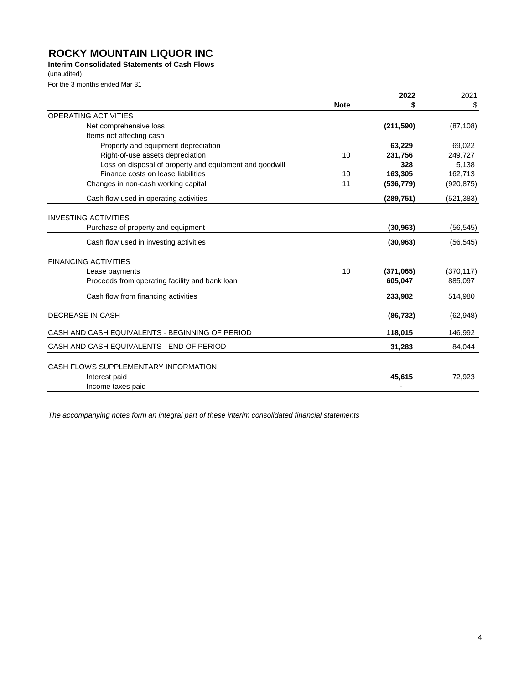# **Interim Consolidated Statements of Cash Flows**

(unaudited)

For the 3 months ended Mar 31

|                                                                            |             | 2022       | 2021       |
|----------------------------------------------------------------------------|-------------|------------|------------|
|                                                                            | <b>Note</b> | S          | S          |
| <b>OPERATING ACTIVITIES</b>                                                |             |            |            |
| Net comprehensive loss                                                     |             | (211,590)  | (87, 108)  |
| Items not affecting cash                                                   |             |            |            |
| Property and equipment depreciation                                        |             | 63,229     | 69,022     |
| Right-of-use assets depreciation                                           | 10          | 231,756    | 249,727    |
| Loss on disposal of property and equipment and goodwill                    |             | 328        | 5,138      |
| Finance costs on lease liabilities                                         | 10          | 163.305    | 162,713    |
| Changes in non-cash working capital                                        | 11          | (536, 779) | (920, 875) |
| Cash flow used in operating activities                                     |             | (289, 751) | (521, 383) |
| <b>INVESTING ACTIVITIES</b>                                                |             |            |            |
| Purchase of property and equipment                                         |             | (30, 963)  | (56, 545)  |
| Cash flow used in investing activities                                     |             | (30, 963)  | (56, 545)  |
| <b>FINANCING ACTIVITIES</b>                                                |             |            |            |
| Lease payments                                                             | 10          | (371,065)  | (370, 117) |
| Proceeds from operating facility and bank loan                             |             | 605,047    | 885,097    |
| Cash flow from financing activities                                        |             | 233,982    | 514,980    |
| DECREASE IN CASH                                                           |             | (86, 732)  | (62, 948)  |
| CASH AND CASH EQUIVALENTS - BEGINNING OF PERIOD                            |             | 118,015    | 146,992    |
| CASH AND CASH EQUIVALENTS - END OF PERIOD                                  |             | 31,283     | 84,044     |
| CASH FLOWS SUPPLEMENTARY INFORMATION<br>Interest paid<br>Income taxes paid |             | 45,615     | 72.923     |

*The accompanying notes form an integral part of these interim consolidated financial statements*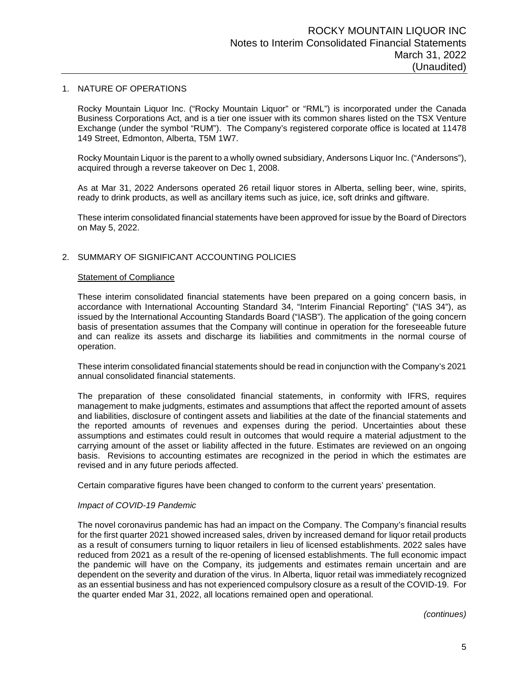#### 1. NATURE OF OPERATIONS

Rocky Mountain Liquor Inc. ("Rocky Mountain Liquor" or "RML") is incorporated under the Canada Business Corporations Act, and is a tier one issuer with its common shares listed on the TSX Venture Exchange (under the symbol "RUM"). The Company's registered corporate office is located at 11478 149 Street, Edmonton, Alberta, T5M 1W7.

Rocky Mountain Liquor is the parent to a wholly owned subsidiary, Andersons Liquor Inc. ("Andersons"), acquired through a reverse takeover on Dec 1, 2008.

As at Mar 31, 2022 Andersons operated 26 retail liquor stores in Alberta, selling beer, wine, spirits, ready to drink products, as well as ancillary items such as juice, ice, soft drinks and giftware.

These interim consolidated financial statements have been approved for issue by the Board of Directors on May 5, 2022.

# 2. SUMMARY OF SIGNIFICANT ACCOUNTING POLICIES

#### Statement of Compliance

These interim consolidated financial statements have been prepared on a going concern basis, in accordance with International Accounting Standard 34, "Interim Financial Reporting" ("IAS 34"), as issued by the International Accounting Standards Board ("IASB"). The application of the going concern basis of presentation assumes that the Company will continue in operation for the foreseeable future and can realize its assets and discharge its liabilities and commitments in the normal course of operation.

These interim consolidated financial statements should be read in conjunction with the Company's 2021 annual consolidated financial statements.

The preparation of these consolidated financial statements, in conformity with IFRS, requires management to make judgments, estimates and assumptions that affect the reported amount of assets and liabilities, disclosure of contingent assets and liabilities at the date of the financial statements and the reported amounts of revenues and expenses during the period. Uncertainties about these assumptions and estimates could result in outcomes that would require a material adjustment to the carrying amount of the asset or liability affected in the future. Estimates are reviewed on an ongoing basis. Revisions to accounting estimates are recognized in the period in which the estimates are revised and in any future periods affected.

Certain comparative figures have been changed to conform to the current years' presentation.

#### *Impact of COVID-19 Pandemic*

The novel coronavirus pandemic has had an impact on the Company. The Company's financial results for the first quarter 2021 showed increased sales, driven by increased demand for liquor retail products as a result of consumers turning to liquor retailers in lieu of licensed establishments. 2022 sales have reduced from 2021 as a result of the re-opening of licensed establishments. The full economic impact the pandemic will have on the Company, its judgements and estimates remain uncertain and are dependent on the severity and duration of the virus. In Alberta, liquor retail was immediately recognized as an essential business and has not experienced compulsory closure as a result of the COVID-19. For the quarter ended Mar 31, 2022, all locations remained open and operational.

*(continues)*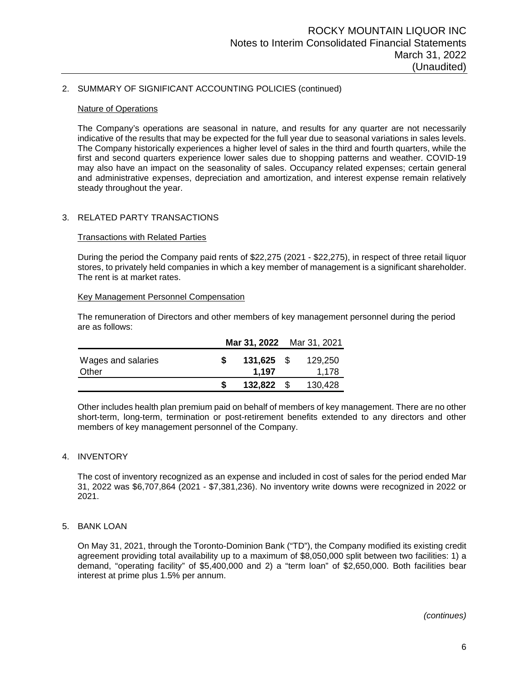# 2. SUMMARY OF SIGNIFICANT ACCOUNTING POLICIES (continued)

#### Nature of Operations

The Company's operations are seasonal in nature, and results for any quarter are not necessarily indicative of the results that may be expected for the full year due to seasonal variations in sales levels. The Company historically experiences a higher level of sales in the third and fourth quarters, while the first and second quarters experience lower sales due to shopping patterns and weather. COVID-19 may also have an impact on the seasonality of sales. Occupancy related expenses; certain general and administrative expenses, depreciation and amortization, and interest expense remain relatively steady throughout the year.

## 3. RELATED PARTY TRANSACTIONS

#### **Transactions with Related Parties**

During the period the Company paid rents of \$22,275 (2021 - \$22,275), in respect of three retail liquor stores, to privately held companies in which a key member of management is a significant shareholder. The rent is at market rates.

#### Key Management Personnel Compensation

The remuneration of Directors and other members of key management personnel during the period are as follows:

|                             | Mar 31, 2022 Mar 31, 2021 |                  |
|-----------------------------|---------------------------|------------------|
| Wages and salaries<br>Other | $131,625$ \$<br>1.197     | 129.250<br>1,178 |
|                             |                           |                  |
|                             | 132,822                   | 130,428          |

Other includes health plan premium paid on behalf of members of key management. There are no other short-term, long-term, termination or post-retirement benefits extended to any directors and other members of key management personnel of the Company.

#### 4. INVENTORY

The cost of inventory recognized as an expense and included in cost of sales for the period ended Mar 31, 2022 was \$6,707,864 (2021 - \$7,381,236). No inventory write downs were recognized in 2022 or 2021.

## 5. BANK LOAN

On May 31, 2021, through the Toronto-Dominion Bank ("TD"), the Company modified its existing credit agreement providing total availability up to a maximum of \$8,050,000 split between two facilities: 1) a demand, "operating facility" of \$5,400,000 and 2) a "term loan" of \$2,650,000. Both facilities bear interest at prime plus 1.5% per annum.

*(continues)*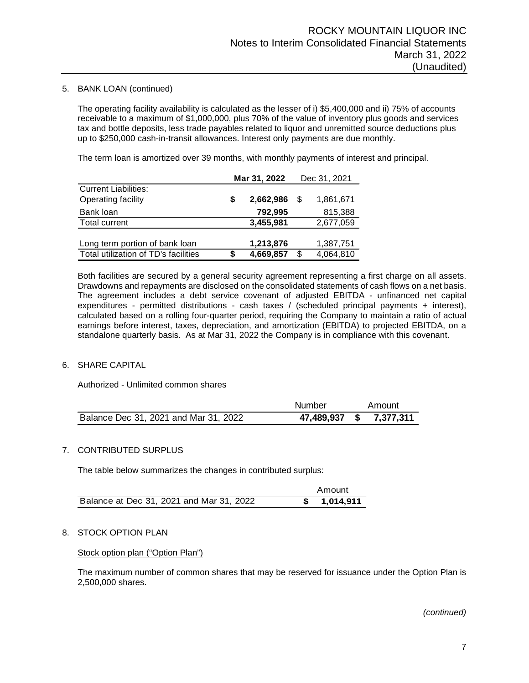## 5. BANK LOAN (continued)

The operating facility availability is calculated as the lesser of i) \$5,400,000 and ii) 75% of accounts receivable to a maximum of \$1,000,000, plus 70% of the value of inventory plus goods and services tax and bottle deposits, less trade payables related to liquor and unremitted source deductions plus up to \$250,000 cash-in-transit allowances. Interest only payments are due monthly.

The term loan is amortized over 39 months, with monthly payments of interest and principal.

|                                      | Mar 31, 2022 |           |      | Dec 31, 2021 |
|--------------------------------------|--------------|-----------|------|--------------|
| <b>Current Liabilities:</b>          |              |           |      |              |
| Operating facility                   | S            | 2,662,986 | - \$ | 1,861,671    |
| Bank loan                            |              | 792,995   |      | 815,388      |
| <b>Total current</b>                 |              | 3,455,981 |      | 2,677,059    |
|                                      |              |           |      |              |
| Long term portion of bank loan       |              | 1,213,876 |      | 1,387,751    |
| Total utilization of TD's facilities | S            | 4,669,857 | \$   | 4,064,810    |

Both facilities are secured by a general security agreement representing a first charge on all assets. Drawdowns and repayments are disclosed on the consolidated statements of cash flows on a net basis. The agreement includes a debt service covenant of adjusted EBITDA - unfinanced net capital expenditures - permitted distributions - cash taxes / (scheduled principal payments + interest), calculated based on a rolling four-quarter period, requiring the Company to maintain a ratio of actual earnings before interest, taxes, depreciation, and amortization (EBITDA) to projected EBITDA, on a standalone quarterly basis. As at Mar 31, 2022 the Company is in compliance with this covenant.

# 6. SHARE CAPITAL

Authorized - Unlimited common shares

|                                       | Number        | Amount    |
|---------------------------------------|---------------|-----------|
| Balance Dec 31, 2021 and Mar 31, 2022 | 47,489,937 \$ | 7,377,311 |

## 7. CONTRIBUTED SURPLUS

The table below summarizes the changes in contributed surplus:

|                                          | Amount       |
|------------------------------------------|--------------|
| Balance at Dec 31, 2021 and Mar 31, 2022 | \$ 1,014,911 |

# 8. STOCK OPTION PLAN

Stock option plan ("Option Plan")

The maximum number of common shares that may be reserved for issuance under the Option Plan is 2,500,000 shares.

*(continued)*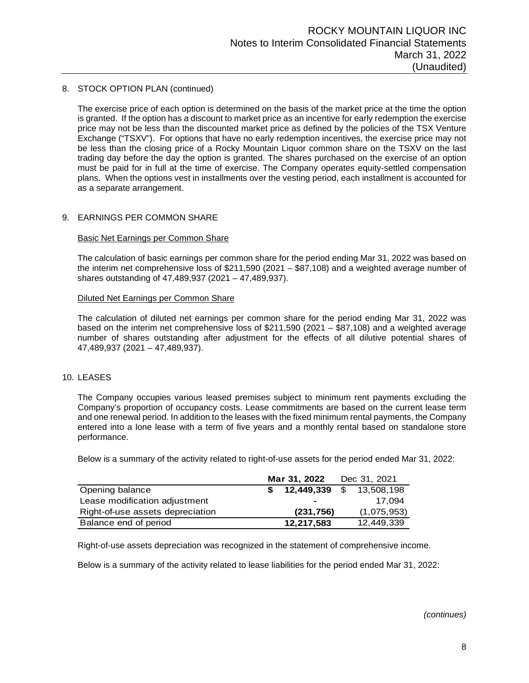## 8. STOCK OPTION PLAN (continued)

The exercise price of each option is determined on the basis of the market price at the time the option is granted. If the option has a discount to market price as an incentive for early redemption the exercise price may not be less than the discounted market price as defined by the policies of the TSX Venture Exchange ("TSXV"). For options that have no early redemption incentives, the exercise price may not be less than the closing price of a Rocky Mountain Liquor common share on the TSXV on the last trading day before the day the option is granted. The shares purchased on the exercise of an option must be paid for in full at the time of exercise. The Company operates equity-settled compensation plans. When the options vest in installments over the vesting period, each installment is accounted for as a separate arrangement.

# 9. EARNINGS PER COMMON SHARE

# Basic Net Earnings per Common Share

The calculation of basic earnings per common share for the period ending Mar 31, 2022 was based on the interim net comprehensive loss of \$211,590 (2021 – \$87,108) and a weighted average number of shares outstanding of 47,489,937 (2021 – 47,489,937).

## Diluted Net Earnings per Common Share

The calculation of diluted net earnings per common share for the period ending Mar 31, 2022 was based on the interim net comprehensive loss of \$211,590 (2021 – \$87,108) and a weighted average number of shares outstanding after adjustment for the effects of all dilutive potential shares of 47,489,937 (2021 – 47,489,937).

## 10. LEASES

The Company occupies various leased premises subject to minimum rent payments excluding the Company's proportion of occupancy costs. Lease commitments are based on the current lease term and one renewal period. In addition to the leases with the fixed minimum rental payments, the Company entered into a lone lease with a term of five years and a monthly rental based on standalone store performance.

Below is a summary of the activity related to right-of-use assets for the period ended Mar 31, 2022:

|                                  | Mar 31, 2022 |              |            |             | Dec 31, 2021 |  |
|----------------------------------|--------------|--------------|------------|-------------|--------------|--|
| Opening balance                  |              | \$12,449,339 | $\cdot$ \$ | 13,508,198  |              |  |
| Lease modification adjustment    |              | -            |            | 17.094      |              |  |
| Right-of-use assets depreciation |              | (231,756)    |            | (1,075,953) |              |  |
| Balance end of period            |              | 12,217,583   |            | 12.449.339  |              |  |

Right-of-use assets depreciation was recognized in the statement of comprehensive income.

Below is a summary of the activity related to lease liabilities for the period ended Mar 31, 2022:

*(continues)*